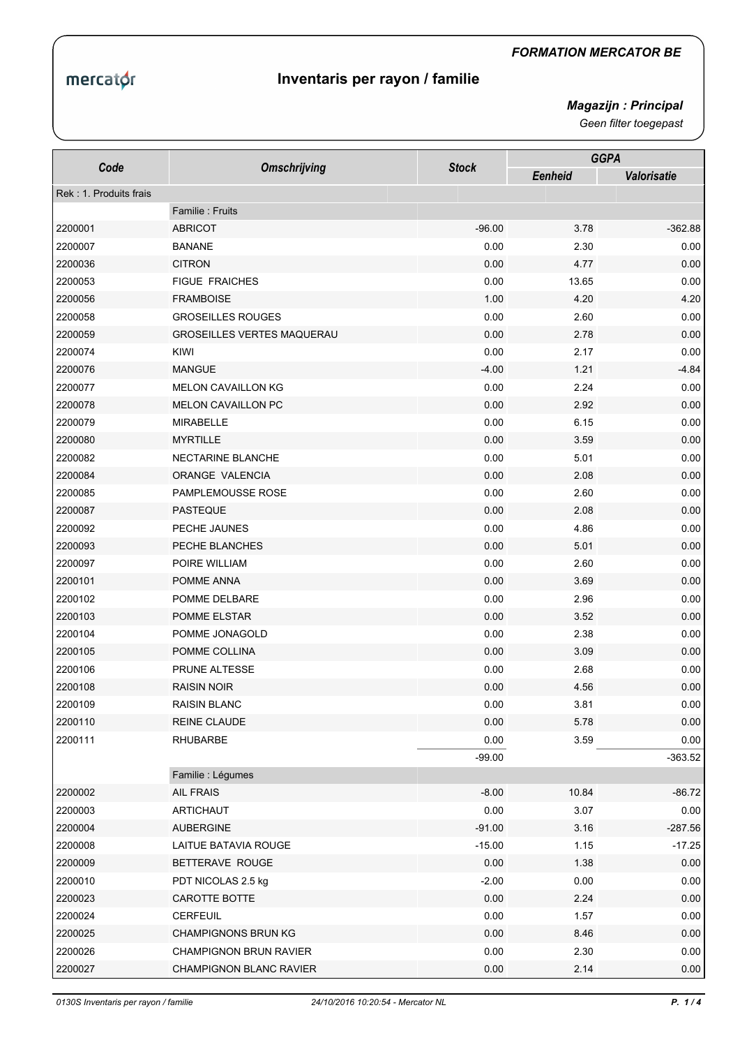## mercator

## *FORMATION MERCATOR BE*

## **Inventaris per rayon / familie**

*Magazijn : Principal* 

*Geen filter toegepast*

| Code                   | <b>Omschrijving</b>               | <b>Stock</b> | <b>GGPA</b> |                    |
|------------------------|-----------------------------------|--------------|-------------|--------------------|
|                        |                                   |              | Eenheid     | <b>Valorisatie</b> |
| Rek: 1. Produits frais |                                   |              |             |                    |
|                        | Familie: Fruits                   |              |             |                    |
| 2200001                | <b>ABRICOT</b>                    | $-96.00$     | 3.78        | $-362.88$          |
| 2200007                | <b>BANANE</b>                     | 0.00         | 2.30        | 0.00               |
| 2200036                | <b>CITRON</b>                     | 0.00         | 4.77        | 0.00               |
| 2200053                | <b>FIGUE FRAICHES</b>             | 0.00         | 13.65       | 0.00               |
| 2200056                | <b>FRAMBOISE</b>                  | 1.00         | 4.20        | 4.20               |
| 2200058                | <b>GROSEILLES ROUGES</b>          | 0.00         | 2.60        | 0.00               |
| 2200059                | <b>GROSEILLES VERTES MAQUERAU</b> | 0.00         | 2.78        | 0.00               |
| 2200074                | KIWI                              | 0.00         | 2.17        | 0.00               |
| 2200076                | <b>MANGUE</b>                     | $-4.00$      | 1.21        | $-4.84$            |
| 2200077                | <b>MELON CAVAILLON KG</b>         | 0.00         | 2.24        | 0.00               |
| 2200078                | <b>MELON CAVAILLON PC</b>         | 0.00         | 2.92        | 0.00               |
| 2200079                | <b>MIRABELLE</b>                  | 0.00         | 6.15        | 0.00               |
| 2200080                | <b>MYRTILLE</b>                   | 0.00         | 3.59        | 0.00               |
| 2200082                | NECTARINE BLANCHE                 | 0.00         | 5.01        | 0.00               |
| 2200084                | ORANGE VALENCIA                   | 0.00         | 2.08        | 0.00               |
| 2200085                | PAMPLEMOUSSE ROSE                 | 0.00         | 2.60        | 0.00               |
| 2200087                | <b>PASTEQUE</b>                   | 0.00         | 2.08        | 0.00               |
| 2200092                | PECHE JAUNES                      | 0.00         | 4.86        | 0.00               |
| 2200093                | PECHE BLANCHES                    | 0.00         | 5.01        | 0.00               |
| 2200097                | POIRE WILLIAM                     | 0.00         | 2.60        | 0.00               |
| 2200101                | POMME ANNA                        | 0.00         | 3.69        | 0.00               |
| 2200102                | POMME DELBARE                     | 0.00         | 2.96        | 0.00               |
| 2200103                | POMME ELSTAR                      | 0.00         | 3.52        | 0.00               |
| 2200104                | POMME JONAGOLD                    | 0.00         | 2.38        | 0.00               |
| 2200105                | POMME COLLINA                     | 0.00         | 3.09        | 0.00               |
| 2200106                | PRUNE ALTESSE                     | 0.00         | 2.68        | 0.00               |
| 2200108                | <b>RAISIN NOIR</b>                | 0.00         | 4.56        | 0.00               |
| 2200109                | <b>RAISIN BLANC</b>               | 0.00         | 3.81        | 0.00               |
| 2200110                | <b>REINE CLAUDE</b>               | 0.00         | 5.78        | 0.00               |
| 2200111                | <b>RHUBARBE</b>                   | 0.00         | 3.59        | 0.00               |
|                        |                                   | $-99.00$     |             | $-363.52$          |
|                        | Familie : Légumes                 |              |             |                    |
| 2200002                | AIL FRAIS                         | $-8.00$      | 10.84       | $-86.72$           |
| 2200003                | <b>ARTICHAUT</b>                  | 0.00         | 3.07        | 0.00               |
| 2200004                | <b>AUBERGINE</b>                  | $-91.00$     | 3.16        | $-287.56$          |
| 2200008                | LAITUE BATAVIA ROUGE              | $-15.00$     | 1.15        | $-17.25$           |
| 2200009                | BETTERAVE ROUGE                   | 0.00         | 1.38        | 0.00               |
| 2200010                | PDT NICOLAS 2.5 kg                | $-2.00$      | 0.00        | 0.00               |
| 2200023                | CAROTTE BOTTE                     | 0.00         | 2.24        | 0.00               |
| 2200024                | CERFEUIL                          | 0.00         | 1.57        | 0.00               |
| 2200025                | <b>CHAMPIGNONS BRUN KG</b>        | 0.00         | 8.46        | 0.00               |
| 2200026                | <b>CHAMPIGNON BRUN RAVIER</b>     | 0.00         | 2.30        | 0.00               |
| 2200027                | <b>CHAMPIGNON BLANC RAVIER</b>    | 0.00         | 2.14        | 0.00               |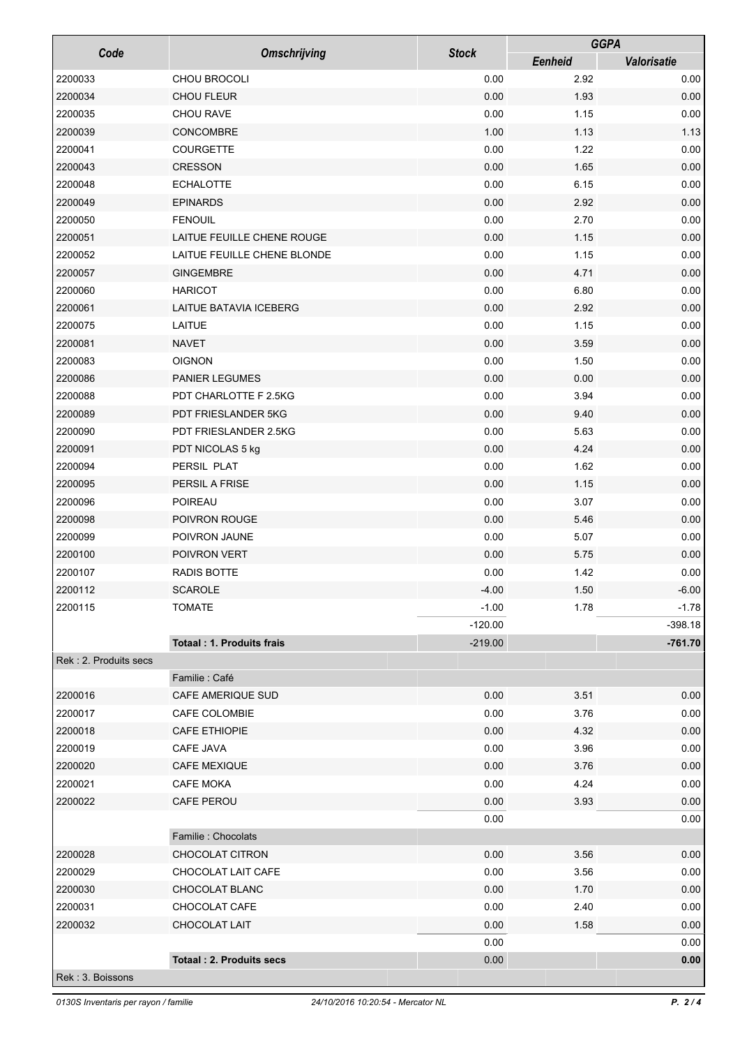|                       |                                  |              | <b>GGPA</b>    |                    |
|-----------------------|----------------------------------|--------------|----------------|--------------------|
| Code                  | <b>Omschrijving</b>              | <b>Stock</b> | <b>Eenheid</b> | <b>Valorisatie</b> |
| 2200033               | CHOU BROCOLI                     | 0.00         | 2.92           | 0.00               |
| 2200034               | CHOU FLEUR                       | 0.00         | 1.93           | 0.00               |
| 2200035               | <b>CHOU RAVE</b>                 | 0.00         | 1.15           | 0.00               |
| 2200039               | CONCOMBRE                        | 1.00         | 1.13           | 1.13               |
| 2200041               | COURGETTE                        | 0.00         | 1.22           | 0.00               |
| 2200043               | <b>CRESSON</b>                   | 0.00         | 1.65           | 0.00               |
| 2200048               | <b>ECHALOTTE</b>                 | 0.00         | 6.15           | 0.00               |
| 2200049               | <b>EPINARDS</b>                  | 0.00         | 2.92           | 0.00               |
| 2200050               | <b>FENOUIL</b>                   | 0.00         | 2.70           | 0.00               |
| 2200051               | LAITUE FEUILLE CHENE ROUGE       | 0.00         | 1.15           | 0.00               |
| 2200052               | LAITUE FEUILLE CHENE BLONDE      | 0.00         | 1.15           | 0.00               |
| 2200057               | <b>GINGEMBRE</b>                 | 0.00         | 4.71           | 0.00               |
| 2200060               | <b>HARICOT</b>                   | 0.00         | 6.80           | 0.00               |
| 2200061               | LAITUE BATAVIA ICEBERG           | 0.00         | 2.92           | 0.00               |
| 2200075               | LAITUE                           | 0.00         | 1.15           | 0.00               |
| 2200081               | <b>NAVET</b>                     | 0.00         | 3.59           | 0.00               |
| 2200083               | <b>OIGNON</b>                    | 0.00         | 1.50           | 0.00               |
| 2200086               | PANIER LEGUMES                   | 0.00         | 0.00           | 0.00               |
| 2200088               | PDT CHARLOTTE F 2.5KG            | 0.00         | 3.94           | 0.00               |
| 2200089               | PDT FRIESLANDER 5KG              | 0.00         | 9.40           | 0.00               |
| 2200090               | PDT FRIESLANDER 2.5KG            | 0.00         | 5.63           | 0.00               |
| 2200091               | PDT NICOLAS 5 kg                 | 0.00         | 4.24           | 0.00               |
| 2200094               | PERSIL PLAT                      | 0.00         | 1.62           | 0.00               |
| 2200095               | PERSIL A FRISE                   | 0.00         | 1.15           | 0.00               |
| 2200096               | <b>POIREAU</b>                   | 0.00         | 3.07           | 0.00               |
| 2200098               | POIVRON ROUGE                    | 0.00         | 5.46           | 0.00               |
| 2200099               | POIVRON JAUNE                    | 0.00         | 5.07           | 0.00               |
| 2200100               | POIVRON VERT                     | 0.00         | 5.75           | 0.00               |
| 2200107               | RADIS BOTTE                      | 0.00         | 1.42           | 0.00               |
| 2200112               | <b>SCAROLE</b>                   | $-4.00$      | 1.50           | $-6.00$            |
| 2200115               | <b>TOMATE</b>                    | $-1.00$      | 1.78           | $-1.78$            |
|                       |                                  | $-120.00$    |                | $-398.18$          |
|                       | <b>Totaal: 1. Produits frais</b> | $-219.00$    |                | $-761.70$          |
| Rek: 2. Produits secs |                                  |              |                |                    |
|                       | Familie : Café                   |              |                |                    |
| 2200016               | CAFE AMERIQUE SUD                | 0.00         | 3.51           | 0.00               |
| 2200017               | CAFE COLOMBIE                    | 0.00         | 3.76           | 0.00               |
| 2200018               | <b>CAFE ETHIOPIE</b>             | 0.00         | 4.32           | 0.00               |
| 2200019               | CAFE JAVA                        | 0.00         | 3.96           | 0.00               |
| 2200020               | <b>CAFE MEXIQUE</b>              | 0.00         | 3.76           | 0.00               |
| 2200021               | <b>CAFE MOKA</b>                 | 0.00         | 4.24           | 0.00               |
| 2200022               | CAFE PEROU                       | 0.00         | 3.93           | 0.00               |
|                       |                                  | 0.00         |                | 0.00               |
|                       | Familie : Chocolats              |              |                |                    |
| 2200028               | CHOCOLAT CITRON                  | 0.00         | 3.56           | 0.00               |
| 2200029               | CHOCOLAT LAIT CAFE               | 0.00         | 3.56           | 0.00               |
| 2200030               | CHOCOLAT BLANC                   | 0.00         | 1.70           | 0.00               |
| 2200031               | CHOCOLAT CAFE                    | 0.00         | 2.40           | 0.00               |
| 2200032               | CHOCOLAT LAIT                    | 0.00         | 1.58           | 0.00               |
|                       |                                  | 0.00         |                | 0.00               |
|                       | <b>Totaal: 2. Produits secs</b>  | 0.00         |                | 0.00               |
| Rek : 3. Boissons     |                                  |              |                |                    |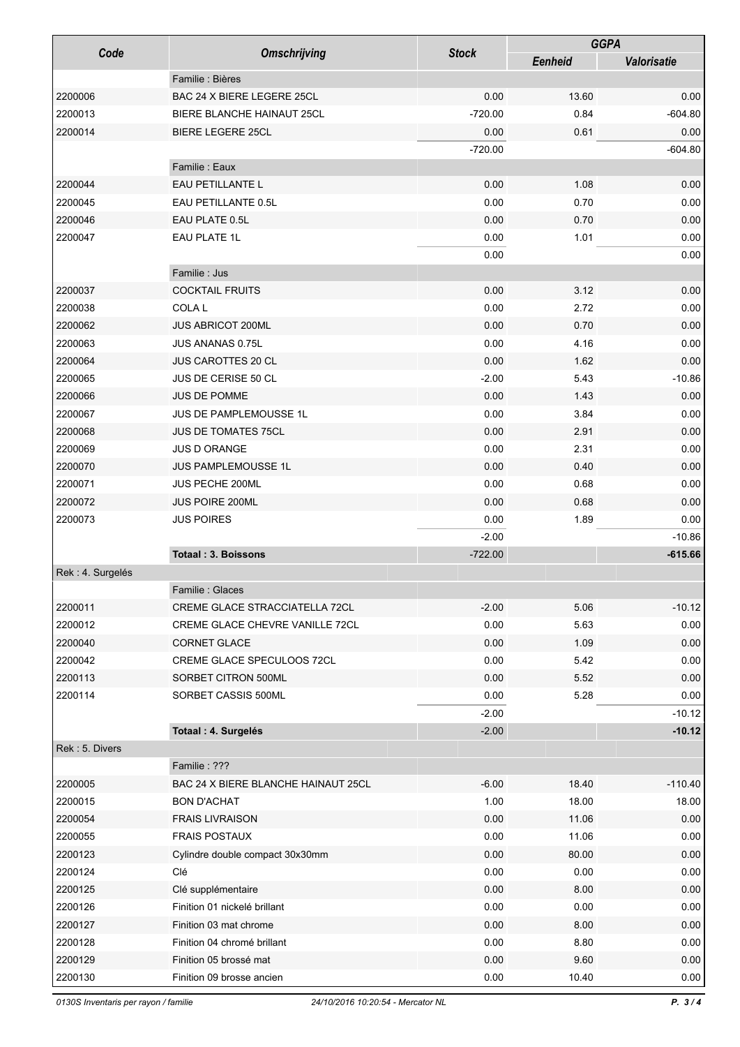| Code             | <b>Omschrijving</b>                 | <b>Stock</b> | <b>GGPA</b>    |             |
|------------------|-------------------------------------|--------------|----------------|-------------|
|                  |                                     |              | <b>Eenheid</b> | Valorisatie |
|                  | Familie : Bières                    |              |                |             |
| 2200006          | BAC 24 X BIERE LEGERE 25CL          | 0.00         | 13.60          | 0.00        |
| 2200013          | BIERE BLANCHE HAINAUT 25CL          | $-720.00$    | 0.84           | $-604.80$   |
| 2200014          | <b>BIERE LEGERE 25CL</b>            | 0.00         | 0.61           | 0.00        |
|                  |                                     | $-720.00$    |                | $-604.80$   |
|                  | Familie: Eaux                       |              |                |             |
| 2200044          | EAU PETILLANTE L                    | 0.00         | 1.08           | 0.00        |
| 2200045          | EAU PETILLANTE 0.5L                 | 0.00         | 0.70           | 0.00        |
| 2200046          | EAU PLATE 0.5L                      | 0.00         | 0.70           | 0.00        |
| 2200047          | <b>EAU PLATE 1L</b>                 | 0.00         | 1.01           | 0.00        |
|                  |                                     | 0.00         |                | 0.00        |
|                  | Familie : Jus                       |              |                |             |
| 2200037          | <b>COCKTAIL FRUITS</b>              | 0.00         | 3.12           | 0.00        |
| 2200038          | <b>COLAL</b>                        | 0.00         | 2.72           | 0.00        |
| 2200062          | <b>JUS ABRICOT 200ML</b>            | 0.00         | 0.70           | 0.00        |
| 2200063          | <b>JUS ANANAS 0.75L</b>             | 0.00         | 4.16           | 0.00        |
| 2200064          | <b>JUS CAROTTES 20 CL</b>           | 0.00         | 1.62           | 0.00        |
| 2200065          | JUS DE CERISE 50 CL                 | $-2.00$      | 5.43           | $-10.86$    |
| 2200066          | JUS DE POMME                        | 0.00         | 1.43           | 0.00        |
| 2200067          | <b>JUS DE PAMPLEMOUSSE 1L</b>       | 0.00         | 3.84           | 0.00        |
| 2200068          | <b>JUS DE TOMATES 75CL</b>          | 0.00         | 2.91           | 0.00        |
| 2200069          | <b>JUS D ORANGE</b>                 | 0.00         | 2.31           | 0.00        |
| 2200070          | <b>JUS PAMPLEMOUSSE 1L</b>          | 0.00         | 0.40           | 0.00        |
| 2200071          | JUS PECHE 200ML                     | 0.00         | 0.68           | 0.00        |
| 2200072          | <b>JUS POIRE 200ML</b>              | 0.00         | 0.68           | 0.00        |
| 2200073          | <b>JUS POIRES</b>                   | 0.00         | 1.89           | 0.00        |
|                  |                                     | $-2.00$      |                | $-10.86$    |
|                  | <b>Totaal: 3. Boissons</b>          | $-722.00$    |                | $-615.66$   |
| Rek: 4. Surgelés |                                     |              |                |             |
|                  | Familie: Glaces                     |              |                |             |
| 2200011          | CREME GLACE STRACCIATELLA 72CL      | $-2.00$      | 5.06           | $-10.12$    |
| 2200012          | CREME GLACE CHEVRE VANILLE 72CL     | 0.00         | 5.63           | 0.00        |
| 2200040          | CORNET GLACE                        | 0.00         | 1.09           | 0.00        |
| 2200042          | CREME GLACE SPECULOOS 72CL          | 0.00         | 5.42           | 0.00        |
| 2200113          | SORBET CITRON 500ML                 | 0.00         | 5.52           | 0.00        |
| 2200114          | SORBET CASSIS 500ML                 | 0.00         | 5.28           | 0.00        |
|                  |                                     | $-2.00$      |                | $-10.12$    |
|                  | Totaal: 4. Surgelés                 | $-2.00$      |                | $-10.12$    |
| Rek: 5. Divers   |                                     |              |                |             |
|                  | Familie: ???                        |              |                |             |
| 2200005          | BAC 24 X BIERE BLANCHE HAINAUT 25CL | $-6.00$      | 18.40          | $-110.40$   |
| 2200015          | <b>BON D'ACHAT</b>                  | 1.00         | 18.00          | 18.00       |
| 2200054          | <b>FRAIS LIVRAISON</b>              | 0.00         | 11.06          | 0.00        |
| 2200055          | <b>FRAIS POSTAUX</b>                | 0.00         | 11.06          | 0.00        |
| 2200123          | Cylindre double compact 30x30mm     | 0.00         | 80.00          | 0.00        |
| 2200124          | Clé                                 | 0.00         | 0.00           | 0.00        |
| 2200125          | Clé supplémentaire                  | 0.00         | 8.00           | 0.00        |
| 2200126          | Finition 01 nickelé brillant        | 0.00         | 0.00           | 0.00        |
| 2200127          | Finition 03 mat chrome              | 0.00         | 8.00           | 0.00        |
| 2200128          | Finition 04 chromé brillant         | 0.00         | 8.80           | 0.00        |
| 2200129          | Finition 05 brossé mat              | 0.00         | 9.60           | 0.00        |
| 2200130          | Finition 09 brosse ancien           | 0.00         | 10.40          | 0.00        |